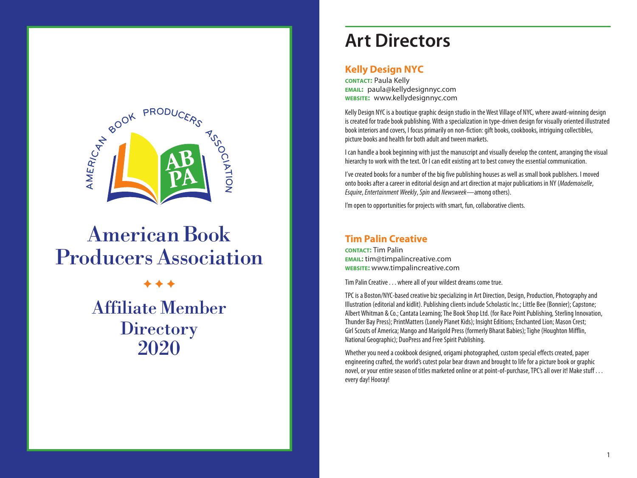

# AmericanBook ProducersAssociation

 $+ + +$ Affiliate Member **Directory** 2020

## **Art Directors**

#### **Kelly Design NYC**

**cONTACT: Paula Kelly email:** paula@kellydesignnyc.com **website:** www.kellydesignnyc.com

Kelly Design NYC is a boutique graphic design studio in the West Village of NYC, where award-winning design is created for trade book publishing. With a specialization in type-driven design for visually oriented illustrated book interiors and covers, I focus primarily on non-fiction: gift books, cookbooks, intriguing collectibles, picture books and health for both adult and tween markets.

I can handle a book beginning with just the manuscript and visually develop the content, arranging the visual hierarchy to work with the text. Or I can edit existing art to best convey the essential communication.

I've created books for a number of the big five publishing houses as well as small book publishers. I moved onto books after a career in editorial design and art direction at major publications in NY (*Mademoiselle*, *Esquire*, *Entertainment Weekly*, *Spin* and *Newsweek*—among others).

I'm open to opportunities for projects with smart, fun, collaborative clients.

#### **Tim Palin Creative**

**contact:** Tim Palin **email:** tim@timpalincreative.com **website:** www.timpalincreative.com

Tim Palin Creative . . . where all of your wildest dreams come true.

TPC is a Boston/NYC-based creative biz specializing in Art Direction, Design, Production, Photography and Illustration (editorial and kidlit). Publishing clients include Scholastic Inc.; Little Bee (Bonnier); Capstone; Albert Whitman & Co.; Cantata Learning; The Book Shop Ltd. (for Race Point Publishing, Sterling Innovation, Thunder Bay Press); PrintMatters (Lonely Planet Kids); Insight Editions; Enchanted Lion; Mason Crest; Girl Scouts of America; Mango and Marigold Press (formerly Bharat Babies); Tighe (Houghton Mifflin, National Geographic); DuoPress and Free Spirit Publishing.

Whether you need a cookbook designed, origami photographed, custom special effects created, paper engineering crafted, the world's cutest polar bear drawn and brought to life for a picture book or graphic novel, or your entire season of titles marketed online or at point-of-purchase, TPC's all over it! Make stuff . . . every day! Hooray!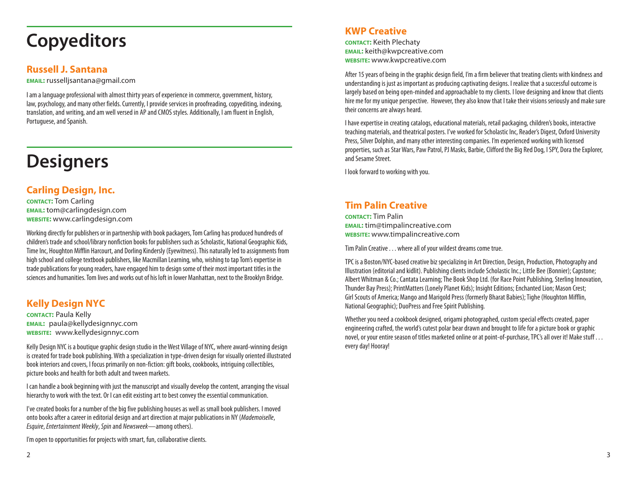## **Copyeditors**

#### **Russell J. Santana**

**email:** russelljsantana@gmail.com

I am a language professional with almost thirty years of experience in commerce, government, history, law, psychology, and many other fields. Currently, I provide services in proofreading, copyediting, indexing, translation, and writing, and am well versed in AP and CMOS styles. Additionally, I am fluent in English, Portuguese, and Spanish.

## **Designers**

### **Carling Design, Inc.**

**contact:** Tom Carling **email:** tom@carlingdesign.com **website:** www.carlingdesign.com

Working directly for publishers or in partnership with book packagers, Tom Carling has produced hundreds of children's trade and school/library nonfiction books for publishers such as Scholastic, National Geographic Kids, Time Inc, Houghton Mifflin Harcourt, and Dorling Kindersly (Eyewitness). This naturally led to assignments from high school and college textbook publishers, like Macmillan Learning, who, wishing to tap Tom's expertise in trade publications for young readers, have engaged him to design some of their most important titles in the sciences and humanities. Tom lives and works out of his loft in lower Manhattan, next to the Brooklyn Bridge.

### **Kelly Design NYC**

**contact:** Paula Kelly **email:** paula@kellydesignnyc.com **website:** www.kellydesignnyc.com

Kelly Design NYC is a boutique graphic design studio in the West Village of NYC, where award-winning design is created for trade book publishing. With a specialization in type-driven design for visually oriented illustrated book interiors and covers, I focus primarily on non-fiction: gift books, cookbooks, intriguing collectibles, picture books and health for both adult and tween markets.

I can handle a book beginning with just the manuscript and visually develop the content, arranging the visual hierarchy to work with the text. Or I can edit existing art to best convey the essential communication.

I've created books for a number of the big five publishing houses as well as small book publishers. I moved onto books after a career in editorial design and art direction at major publications in NY (*Mademoiselle*, *Esquire*, *Entertainment Weekly*, *Spin* and *Newsweek*—among others).

I'm open to opportunities for projects with smart, fun, collaborative clients.

### **KWP Creative**

**contact:** Keith Plechaty **email:** keith@kwpcreative.com **website:** www.kwpcreative.com

After 15 years of being in the graphic design field, I'm a firm believer that treating clients with kindness and understanding is just as important as producing captivating designs. I realize that a successful outcome is largely based on being open-minded and approachable to my clients. I love designing and know that clients hire me for my unique perspective. However, they also know that I take their visions seriously and make sure their concerns are always heard.

I have expertise in creating catalogs, educational materials, retail packaging, children's books, interactive teaching materials, and theatrical posters. I've worked for Scholastic Inc, Reader's Digest, Oxford University Press, Silver Dolphin, and many other interesting companies. I'm experienced working with licensed properties, such as Star Wars, Paw Patrol, PJ Masks, Barbie, Clifford the Big Red Dog, I SPY, Dora the Explorer, and Sesame Street.

I look forward to working with you.

### **Tim Palin Creative**

**contact:** Tim Palin **email:** tim@timpalincreative.com **website:** www.timpalincreative.com

Tim Palin Creative . . . where all of your wildest dreams come true.

TPC is a Boston/NYC-based creative biz specializing in Art Direction, Design, Production, Photography and Illustration (editorial and kidlit). Publishing clients include Scholastic Inc.; Little Bee (Bonnier); Capstone; Albert Whitman & Co.; Cantata Learning; The Book Shop Ltd. (for Race Point Publishing, Sterling Innovation, Thunder Bay Press); PrintMatters (Lonely Planet Kids); Insight Editions; Enchanted Lion; Mason Crest; Girl Scouts of America; Mango and Marigold Press (formerly Bharat Babies); Tighe (Houghton Mifflin, National Geographic); DuoPress and Free Spirit Publishing.

Whether you need a cookbook designed, origami photographed, custom special effects created, paper engineering crafted, the world's cutest polar bear drawn and brought to life for a picture book or graphic novel, or your entire season of titles marketed online or at point-of-purchase, TPC's all over it! Make stuff . . . every day! Hooray!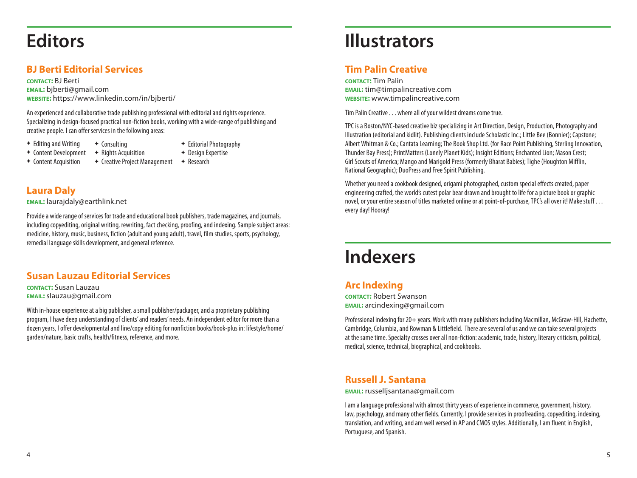## **Editors**

### **BJ Berti Editorial Services**

**contact:** BJ Berti **email:** bjberti@gmail.com **website:** https://www.linkedin.com/in/bjberti/

 $\triangleleft$  Consulting

An experienced and collaborative trade publishing professional with editorial and rights experience. Specializing in design-focused practical non-fiction books, working with a wide-range of publishing and creative people. I can offer services in the following areas:

 $\div$  Editing and Writing

- 
- ◆ Content Development  $\div$  Rights Acquisition
- <sup>F</sup>Editorial Photography  $\rightarrow$  Design Expertise
- + Content Acquisition
- ◆ Creative Project Management → Research

#### **Laura Daly**

**email:** laurajdaly@earthlink.net

Provide a wide range of services for trade and educational book publishers, trade magazines, and journals, including copyediting, original writing, rewriting, fact checking, proofing, and indexing. Sample subject areas: medicine, history, music, business, fiction (adult and young adult), travel, film studies, sports, psychology, remedial language skills development, and general reference.

#### **Susan Lauzau Editorial Services**

**contact:** Susan Lauzau **email:** slauzau@gmail.com

With in-house experience at a big publisher, a small publisher/packager, and a proprietary publishing program, I have deep understanding of clients' and readers' needs. An independent editor for more than a dozen years, I offer developmental and line/copy editing for nonfiction books/book-plus in: lifestyle/home/ garden/nature, basic crafts, health/fitness, reference, and more.

## **Illustrators**

#### **Tim Palin Creative**

**contact:** Tim Palin **email:** tim@timpalincreative.com **website:** www.timpalincreative.com

Tim Palin Creative . . . where all of your wildest dreams come true.

TPC is a Boston/NYC-based creative biz specializing in Art Direction, Design, Production, Photography and Illustration (editorial and kidlit). Publishing clients include Scholastic Inc.; Little Bee (Bonnier); Capstone; Albert Whitman & Co.; Cantata Learning; The Book Shop Ltd. (for Race Point Publishing, Sterling Innovation, Thunder Bay Press); PrintMatters (Lonely Planet Kids); Insight Editions; Enchanted Lion; Mason Crest; Girl Scouts of America; Mango and Marigold Press (formerly Bharat Babies); Tighe (Houghton Mifflin, National Geographic); DuoPress and Free Spirit Publishing.

Whether you need a cookbook designed, origami photographed, custom special effects created, paper engineering crafted, the world's cutest polar bear drawn and brought to life for a picture book or graphic novel, or your entire season of titles marketed online or at point-of-purchase, TPC's all over it! Make stuff . . . every day! Hooray!

## **Indexers**

### **Arc Indexing**

**contact:** Robert Swanson **email:** arcindexing@gmail.com

Professional indexing for 20+ years. Work with many publishers including Macmillan, McGraw-Hill, Hachette, Cambridge, Columbia, and Rowman & Littlefield. There are several of us and we can take several projects at the same time. Specialty crosses over all non-fiction: academic, trade, history, literary criticism, political, medical, science, technical, biographical, and cookbooks.

#### **Russell J. Santana**

**email:** russelljsantana@gmail.com

I am a language professional with almost thirty years of experience in commerce, government, history, law, psychology, and many other fields. Currently, I provide services in proofreading, copyediting, indexing, translation, and writing, and am well versed in AP and CMOS styles. Additionally, I am fluent in English, Portuguese, and Spanish.